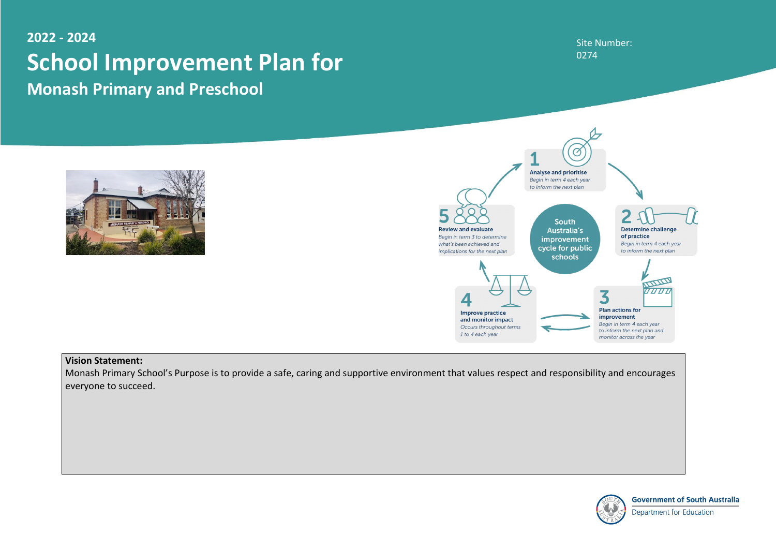### Site Number: 0274



**Government of South Australia** 

**Department for Education** 

## **2022 - 2024 School Improvement Plan for Monash Primary and Preschool**





#### **Vision Statement:**

Monash Primary School's Purpose is to provide a safe, caring and supportive environment that values respect and responsibility and encourages everyone to succeed.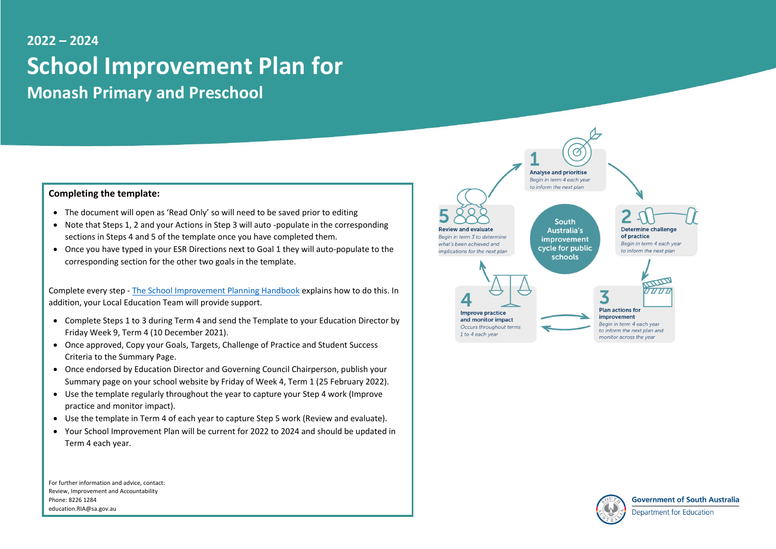## **2022 – 2024 School Improvement Plan for Monash Primary and Preschool**

#### **Completing the template:**

- The document will open as 'Read Only' so will need to be saved prior to editing
- Note that Steps 1, 2 and your Actions in Step 3 will auto -populate in the corresponding sections in Steps 4 and 5 of the template once you have completed them.
- Once you have typed in your ESR Directions next to Goal 1 they will auto-populate to the corresponding section for the other two goals in the template.

Complete every step - [The School Improvement Planning Handbook](https://edi.sa.edu.au/educating/school-improvement/about-school-improvement/planning-templates-and-resources) explains how to do this. In addition, your Local Education Team will provide support.

- Complete Steps 1 to 3 during Term 4 and send the Template to your Education Director by Friday Week 9, Term 4 (10 December 2021).
- Once approved, Copy your Goals, Targets, Challenge of Practice and Student Success Criteria to the Summary Page.
- Once endorsed by Education Director and Governing Council Chairperson, publish your Summary page on your school website by Friday of Week 4, Term 1 (25 February 2022).
- Use the template regularly throughout the year to capture your Step 4 work (Improve practice and monitor impact).
- Use the template in Term 4 of each year to capture Step 5 work (Review and evaluate).
- Your School Improvement Plan will be current for 2022 to 2024 and should be updated in Term 4 each year.

For further information and advice, contact: Review, Improvement and Accountability Phone: 8226 1284 education.RIA@sa.gov.au

to inform the next plan

**South Australia's** improvement cycle for public schools



Improve practice and monitor impact Occurs throughout terms 1 to 4 each year

Jeview and evaluat

Begin in term 3 to determine

implications for the next plan

what's been achieved and



monitor across the year



**Government of South Australia** 

Department for Education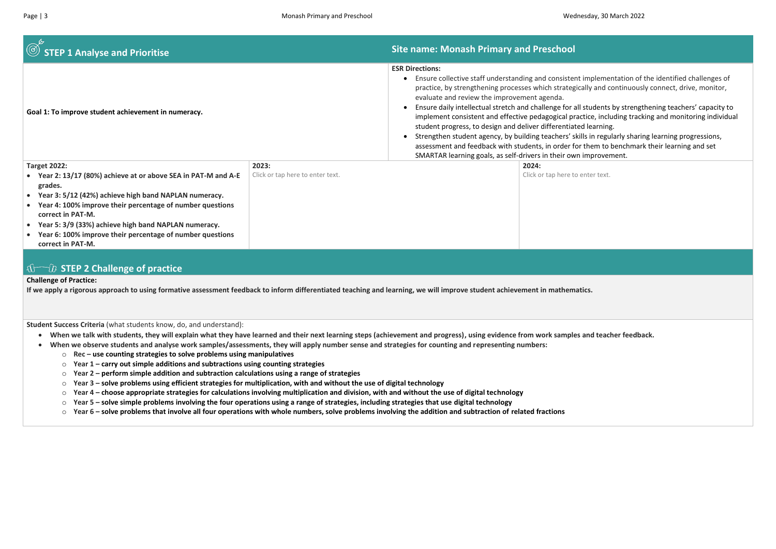| $\circled{S}$ STEP 1 Analyse and Prioritise                                                                                                                                                                                                                                                                                                                    |                                  | <b>Site name: Monash Primary and Preschool</b>                                                                                                                                                                                                                                                                                                                                                                                                                                                                                                                               |                           |
|----------------------------------------------------------------------------------------------------------------------------------------------------------------------------------------------------------------------------------------------------------------------------------------------------------------------------------------------------------------|----------------------------------|------------------------------------------------------------------------------------------------------------------------------------------------------------------------------------------------------------------------------------------------------------------------------------------------------------------------------------------------------------------------------------------------------------------------------------------------------------------------------------------------------------------------------------------------------------------------------|---------------------------|
| Goal 1: To improve student achievement in numeracy.                                                                                                                                                                                                                                                                                                            |                                  | <b>ESR Directions:</b><br>Ensure collective staff understanding and consistent import<br>practice, by strengthening processes which strategically<br>evaluate and review the improvement agenda.<br>Ensure daily intellectual stretch and challenge for all stu<br>implement consistent and effective pedagogical practice<br>student progress, to design and deliver differentiated le<br>Strengthen student agency, by building teachers' skills in<br>assessment and feedback with students, in order for the<br>SMARTAR learning goals, as self-drivers in their own imp |                           |
| <b>Target 2022:</b>                                                                                                                                                                                                                                                                                                                                            | 2023:                            |                                                                                                                                                                                                                                                                                                                                                                                                                                                                                                                                                                              | 2024:                     |
| • Year 2: 13/17 (80%) achieve at or above SEA in PAT-M and A-E<br>grades.<br>Year 3: 5/12 (42%) achieve high band NAPLAN numeracy.<br>Year 4: 100% improve their percentage of number questions<br>correct in PAT-M.<br>Year 5: 3/9 (33%) achieve high band NAPLAN numeracy.<br>Year 6: 100% improve their percentage of number questions<br>correct in PAT-M. | Click or tap here to enter text. |                                                                                                                                                                                                                                                                                                                                                                                                                                                                                                                                                                              | Click or tap here to ente |
| $\bigcap_{n=0}^{\infty}$ CTED 2 Challongo of practice                                                                                                                                                                                                                                                                                                          |                                  |                                                                                                                                                                                                                                                                                                                                                                                                                                                                                                                                                                              |                           |

#### **STEP 2 Challenge of practice**

#### **Challenge of Practice:**

**If we apply a rigorous approach to using formative assessment feedback to inform differentiated teaching and learning, we will improve student achievement in mathematics.**

**Student Success Criteria** (what students know, do, and understand):

- **When we talk with students, they will explain what they have learned and their next learning steps (achievement and progress), using evidence from work samples and teacher feedback.**
- **When we observe students and analyse work samples/assessments, they will apply number sense and strategies for counting and representing numbers:** 
	- o **Rec – use counting strategies to solve problems using manipulatives**
	- o **Year 1 – carry out simple additions and subtractions using counting strategies**
	- o **Year 2 – perform simple addition and subtraction calculations using a range of strategies**
	- o **Year 3 – solve problems using efficient strategies for multiplication, with and without the use of digital technology**
	- o **Year 4 – choose appropriate strategies for calculations involving multiplication and division, with and without the use of digital technology**
	- o **Year 5 – solve simple problems involving the four operations using a range of strategies, including strategies that use digital technology**
	- o **Year 6 – solve problems that involve all four operations with whole numbers, solve problems involving the addition and subtraction of related fractions**

plementation of the identified challenges of and continuously connect, drive, monitor,

Idents by strengthening teachers' capacity to e, including tracking and monitoring individual earning.

In regularly sharing learning progressions, em to benchmark their learning and set provement.

er text.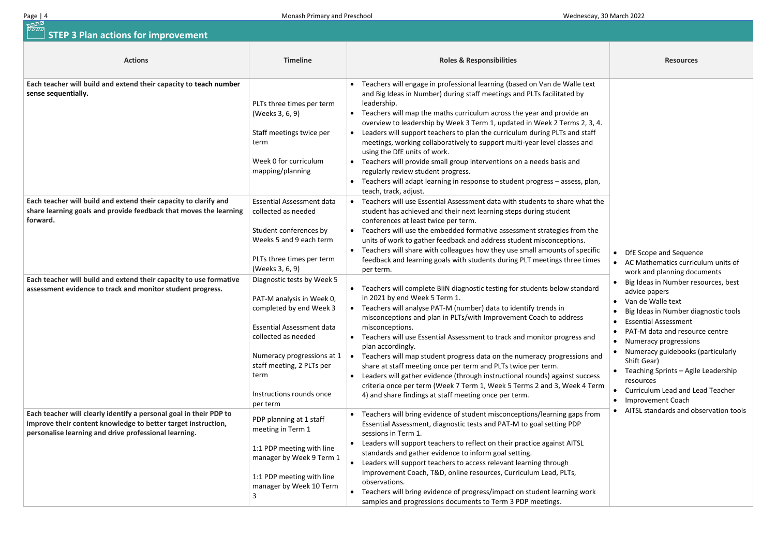|                             | <b>Resources</b>                                                                                                                                 |
|-----------------------------|--------------------------------------------------------------------------------------------------------------------------------------------------|
| ext<br>٦<br>, 3, 4.<br>:aff |                                                                                                                                                  |
| nd<br>olan,                 |                                                                                                                                                  |
| at the<br>the               |                                                                                                                                                  |
| cific<br>imes               | DfE Scope and Sequence<br>AC Mathematics curriculum units of<br>work and planning documents                                                      |
| dard                        | Big Ideas in Number resources, best<br>advice papers<br>Van de Walle text<br>Big Ideas in Number diagnostic tools<br><b>Essential Assessment</b> |
| ınd                         | PAT-M data and resource centre<br>Numeracy progressions<br>Numeracy guidebooks (particularly                                                     |
| s and<br>cess<br>Term       | Shift Gear)<br>Teaching Sprints - Agile Leadership<br>resources<br><b>Curriculum Lead and Lead Teacher</b><br><b>Improvement Coach</b>           |
| from                        | AITSL standards and observation tools                                                                                                            |
| ork                         |                                                                                                                                                  |

| Page   4                                                                                                                                                                                     | Monash Primary and Preschool                                                                                                                                                                                                                             | Wednesday, 30 March 2022                                                                                                                                                                                                                                                                                                                                                                                                                                                                                                                                                                                                                                                                                                                                                          |                                                                                                                                                                                                                                                                                                                         |
|----------------------------------------------------------------------------------------------------------------------------------------------------------------------------------------------|----------------------------------------------------------------------------------------------------------------------------------------------------------------------------------------------------------------------------------------------------------|-----------------------------------------------------------------------------------------------------------------------------------------------------------------------------------------------------------------------------------------------------------------------------------------------------------------------------------------------------------------------------------------------------------------------------------------------------------------------------------------------------------------------------------------------------------------------------------------------------------------------------------------------------------------------------------------------------------------------------------------------------------------------------------|-------------------------------------------------------------------------------------------------------------------------------------------------------------------------------------------------------------------------------------------------------------------------------------------------------------------------|
| <b>RITUATE</b><br><i>U U U U</i><br><b>STEP 3 Plan actions for improvement</b>                                                                                                               |                                                                                                                                                                                                                                                          |                                                                                                                                                                                                                                                                                                                                                                                                                                                                                                                                                                                                                                                                                                                                                                                   |                                                                                                                                                                                                                                                                                                                         |
| <b>Actions</b>                                                                                                                                                                               | <b>Timeline</b>                                                                                                                                                                                                                                          | <b>Roles &amp; Responsibilities</b>                                                                                                                                                                                                                                                                                                                                                                                                                                                                                                                                                                                                                                                                                                                                               | <b>Resources</b>                                                                                                                                                                                                                                                                                                        |
| Each teacher will build and extend their capacity to teach number<br>sense sequentially.                                                                                                     | PLTs three times per term<br>(Weeks 3, 6, 9)<br>Staff meetings twice per<br>term<br>Week 0 for curriculum<br>mapping/planning                                                                                                                            | Teachers will engage in professional learning (based on Van de Walle text<br>and Big Ideas in Number) during staff meetings and PLTs facilitated by<br>leadership.<br>Teachers will map the maths curriculum across the year and provide an<br>$\bullet$<br>overview to leadership by Week 3 Term 1, updated in Week 2 Terms 2, 3, 4.<br>Leaders will support teachers to plan the curriculum during PLTs and staff<br>$\bullet$<br>meetings, working collaboratively to support multi-year level classes and<br>using the DfE units of work.<br>Teachers will provide small group interventions on a needs basis and<br>regularly review student progress.<br>Teachers will adapt learning in response to student progress - assess, plan,<br>$\bullet$<br>teach, track, adjust. |                                                                                                                                                                                                                                                                                                                         |
| Each teacher will build and extend their capacity to clarify and<br>share learning goals and provide feedback that moves the learning<br>forward.                                            | <b>Essential Assessment data</b><br>collected as needed<br>Student conferences by<br>Weeks 5 and 9 each term<br>PLTs three times per term<br>(Weeks 3, 6, 9)                                                                                             | Teachers will use Essential Assessment data with students to share what the<br>student has achieved and their next learning steps during student<br>conferences at least twice per term.<br>Teachers will use the embedded formative assessment strategies from the<br>units of work to gather feedback and address student misconceptions.<br>Teachers will share with colleagues how they use small amounts of specific<br>$\bullet$<br>feedback and learning goals with students during PLT meetings three times<br>per term.                                                                                                                                                                                                                                                  | DfE Scope and Sequen<br><b>AC Mathematics curric</b><br>work and planning doc                                                                                                                                                                                                                                           |
| Each teacher will build and extend their capacity to use formative<br>assessment evidence to track and monitor student progress.                                                             | Diagnostic tests by Week 5<br>PAT-M analysis in Week 0,<br>completed by end Week 3<br><b>Essential Assessment data</b><br>collected as needed<br>Numeracy progressions at 1<br>staff meeting, 2 PLTs per<br>term<br>Instructions rounds once<br>per term | Teachers will complete BliN diagnostic testing for students below standard<br>in 2021 by end Week 5 Term 1.<br>Teachers will analyse PAT-M (number) data to identify trends in<br>misconceptions and plan in PLTs/with Improvement Coach to address<br>misconceptions.<br>Teachers will use Essential Assessment to track and monitor progress and<br>$\bullet$<br>plan accordingly.<br>Teachers will map student progress data on the numeracy progressions and<br>$\bullet$<br>share at staff meeting once per term and PLTs twice per term.<br>Leaders will gather evidence (through instructional rounds) against success<br>$\bullet$<br>criteria once per term (Week 7 Term 1, Week 5 Terms 2 and 3, Week 4 Term<br>4) and share findings at staff meeting once per term.   | Big Ideas in Number re<br>advice papers<br>Van de Walle text<br>$\bullet$<br>Big Ideas in Number di<br><b>Essential Assessment</b><br>PAT-M data and resour<br>Numeracy progression<br>Numeracy guidebooks<br>Shift Gear)<br>Teaching Sprints - Agil<br>resources<br>Curriculum Lead and Lo<br><b>Improvement Coach</b> |
| Each teacher will clearly identify a personal goal in their PDP to<br>improve their content knowledge to better target instruction,<br>personalise learning and drive professional learning. | PDP planning at 1 staff<br>meeting in Term 1<br>1:1 PDP meeting with line<br>manager by Week 9 Term 1<br>1:1 PDP meeting with line<br>manager by Week 10 Term                                                                                            | • Teachers will bring evidence of student misconceptions/learning gaps from<br>Essential Assessment, diagnostic tests and PAT-M to goal setting PDP<br>sessions in Term 1.<br>Leaders will support teachers to reflect on their practice against AITSL<br>$\bullet$<br>standards and gather evidence to inform goal setting.<br>Leaders will support teachers to access relevant learning through<br>$\bullet$<br>Improvement Coach, T&D, online resources, Curriculum Lead, PLTs,<br>observations.<br>• Teachers will bring evidence of progress/impact on student learning work<br>samples and progressions documents to Term 3 PDP meetings.                                                                                                                                   | AITSL standards and ol                                                                                                                                                                                                                                                                                                  |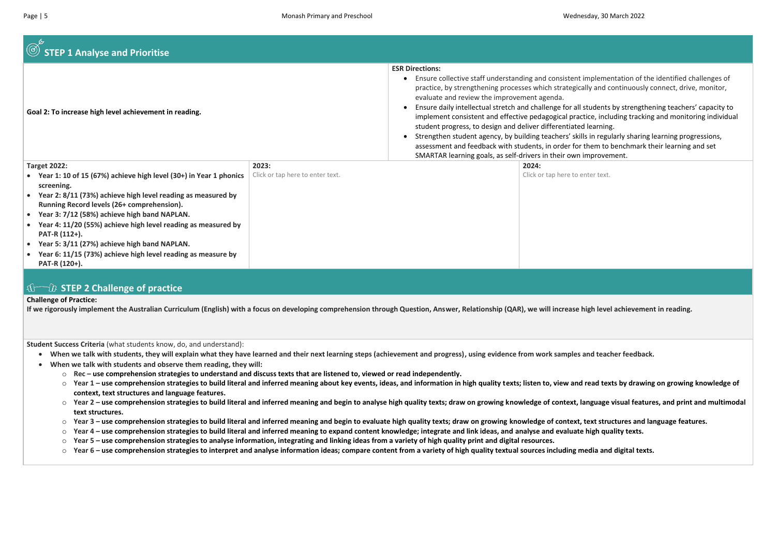| $\textcircled{S}$ STEP 1 Analyse and Prioritise                                                                                                                                                                                                                                                                                                                                                                                                                                                                     |                                           |                                                                                                                                                                                                                                                                                                                                                                                                                                                                                                                                                                                                |                                   |
|---------------------------------------------------------------------------------------------------------------------------------------------------------------------------------------------------------------------------------------------------------------------------------------------------------------------------------------------------------------------------------------------------------------------------------------------------------------------------------------------------------------------|-------------------------------------------|------------------------------------------------------------------------------------------------------------------------------------------------------------------------------------------------------------------------------------------------------------------------------------------------------------------------------------------------------------------------------------------------------------------------------------------------------------------------------------------------------------------------------------------------------------------------------------------------|-----------------------------------|
| Goal 2: To increase high level achievement in reading.                                                                                                                                                                                                                                                                                                                                                                                                                                                              |                                           | <b>ESR Directions:</b><br>Ensure collective staff understanding and consistent im<br>$\bullet$<br>practice, by strengthening processes which strategically<br>evaluate and review the improvement agenda.<br>Ensure daily intellectual stretch and challenge for all stu<br>implement consistent and effective pedagogical practic<br>student progress, to design and deliver differentiated le<br>Strengthen student agency, by building teachers' skills i<br>$\bullet$<br>assessment and feedback with students, in order for th<br>SMARTAR learning goals, as self-drivers in their own im |                                   |
| <b>Target 2022:</b><br>• Year 1: 10 of 15 (67%) achieve high level (30+) in Year 1 phonics<br>screening.<br>Year 2: 8/11 (73%) achieve high level reading as measured by<br>Running Record levels (26+ comprehension).<br>Year 3: 7/12 (58%) achieve high band NAPLAN.<br>$\bullet$<br>Year 4: 11/20 (55%) achieve high level reading as measured by<br>PAT-R (112+).<br>Year 5: 3/11 (27%) achieve high band NAPLAN.<br>$\bullet$<br>Year 6: 11/15 (73%) achieve high level reading as measure by<br>PAT-R (120+). | 2023:<br>Click or tap here to enter text. |                                                                                                                                                                                                                                                                                                                                                                                                                                                                                                                                                                                                | 2024:<br>Click or tap here to ent |

- **When we talk with students, they will explain what they have learned and their next learning steps (achievement and progress), using evidence from work samples and teacher feedback.**
- **When we talk with students and observe them reading, they will:**
	- o **Rec – use comprehension strategies to understand and discuss texts that are listened to, viewed or read independently.**
	- Year 1 use comprehension strategies to build literal and inferred meaning about key events, ideas, and information in high quality texts; listen to, view and read texts by drawing on growing knowledge of **context, text structures and language features.**
	- Year 2 use comprehension strategies to build literal and inferred meaning and begin to analyse high quality texts; draw on growing knowledge of context, language visual features, and print and multimodal **text structures.**
	- Year 3 use comprehension strategies to build literal and inferred meaning and begin to evaluate high quality texts; draw on growing knowledge of context, text structures and language features.
	- o **Year 4 – use comprehension strategies to build literal and inferred meaning to expand content knowledge; integrate and link ideas, and analyse and evaluate high quality texts.**
	- o **Year 5 – use comprehension strategies to analyse information, integrating and linking ideas from a variety of high quality print and digital resources.**
	- Year 6 use comprehension strategies to interpret and analyse information ideas; compare content from a variety of high quality textual sources including media and digital texts.

Iplementation of the identified challenges of y and continuously connect, drive, monitor,

udents by strengthening teachers' capacity to ce, including tracking and monitoring individual earning.

in regularly sharing learning progressions, em to benchmark their learning and set nprovement.

er text.

#### **STEP 2 Challenge of practice**

#### **Challenge of Practice:**

**If we rigorously implement the Australian Curriculum (English) with a focus on developing comprehension through Question, Answer, Relationship (QAR), we will increase high level achievement in reading.** 

**Student Success Criteria** (what students know, do, and understand):